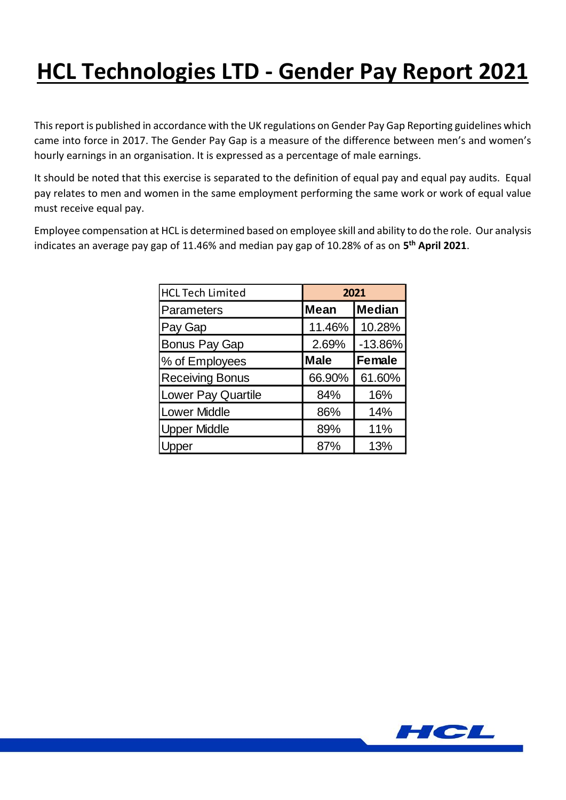## **HCL Technologies LTD - Gender Pay Report 2021**

This report is published in accordance with the UK regulations on Gender Pay Gap Reporting guidelines which came into force in 2017. The Gender Pay Gap is a measure of the difference between men's and women's hourly earnings in an organisation. It is expressed as a percentage of male earnings.

It should be noted that this exercise is separated to the definition of equal pay and equal pay audits. Equal pay relates to men and women in the same employment performing the same work or work of equal value must receive equal pay.

Employee compensation at HCL is determined based on employee skill and ability to do the role. Our analysis indicates an average pay gap of 11.46% and median pay gap of 10.28% of as on **5 th April 2021**.

| <b>HCL Tech Limited</b> | 2021        |               |
|-------------------------|-------------|---------------|
| <b>Parameters</b>       | <b>Mean</b> | <b>Median</b> |
| Pay Gap                 | 11.46%      | 10.28%        |
| <b>Bonus Pay Gap</b>    | 2.69%       | $-13.86%$     |
| % of Employees          | <b>Male</b> | <b>Female</b> |
| <b>Receiving Bonus</b>  | 66.90%      | 61.60%        |
| Lower Pay Quartile      | 84%         | 16%           |
| <b>Lower Middle</b>     | 86%         | 14%           |
| <b>Upper Middle</b>     | 89%         | 11%           |
| er                      | 87%         | 13%           |

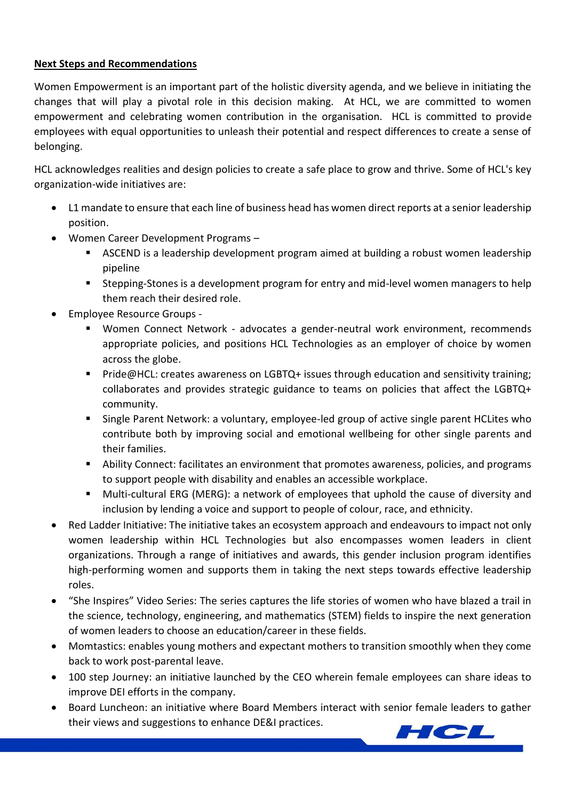## **Next Steps and Recommendations**

Women Empowerment is an important part of the holistic diversity agenda, and we believe in initiating the changes that will play a pivotal role in this decision making. At HCL, we are committed to women empowerment and celebrating women contribution in the organisation. HCL is committed to provide employees with equal opportunities to unleash their potential and respect differences to create a sense of belonging.

HCL acknowledges realities and design policies to create a safe place to grow and thrive. Some of HCL's key organization-wide initiatives are:

- L1 mandate to ensure that each line of business head has women direct reports at a senior leadership position.
- Women Career Development Programs
	- ASCEND is a leadership development program aimed at building a robust women leadership pipeline
	- Stepping-Stones is a development program for entry and mid-level women managers to help them reach their desired role.
- Employee Resource Groups
	- Women Connect Network advocates a gender-neutral work environment, recommends appropriate policies, and positions HCL Technologies as an employer of choice by women across the globe.
	- Pride@HCL: creates awareness on LGBTQ+ issues through education and sensitivity training; collaborates and provides strategic guidance to teams on policies that affect the LGBTQ+ community.
	- Single Parent Network: a voluntary, employee-led group of active single parent HCLites who contribute both by improving social and emotional wellbeing for other single parents and their families.
	- Ability Connect: facilitates an environment that promotes awareness, policies, and programs to support people with disability and enables an accessible workplace.
	- Multi-cultural ERG (MERG): a network of employees that uphold the cause of diversity and inclusion by lending a voice and support to people of colour, race, and ethnicity.
- Red Ladder Initiative: The initiative takes an ecosystem approach and endeavours to impact not only women leadership within HCL Technologies but also encompasses women leaders in client organizations. Through a range of initiatives and awards, this gender inclusion program identifies high-performing women and supports them in taking the next steps towards effective leadership roles.
- "She Inspires" Video Series: The series captures the life stories of women who have blazed a trail in the science, technology, engineering, and mathematics (STEM) fields to inspire the next generation of women leaders to choose an education/career in these fields.
- Momtastics: enables young mothers and expectant mothers to transition smoothly when they come back to work post-parental leave.
- 100 step Journey: an initiative launched by the CEO wherein female employees can share ideas to improve DEI efforts in the company.
- Board Luncheon: an initiative where Board Members interact with senior female leaders to gather their views and suggestions to enhance DE&I practices.